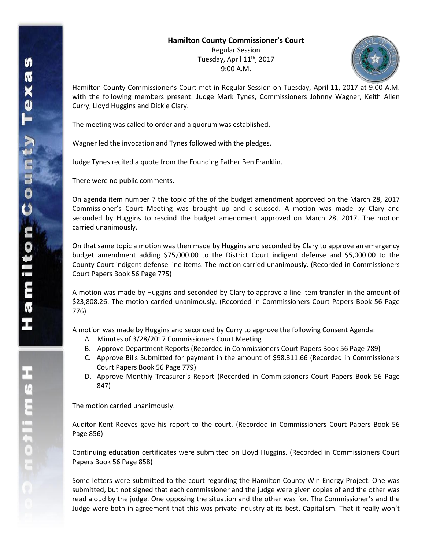## **Hamilton County Commissioner's Court**

Regular Session Tuesday, April 11<sup>th</sup>, 2017 9:00 A.M.



Hamilton County Commissioner's Court met in Regular Session on Tuesday, April 11, 2017 at 9:00 A.M. with the following members present: Judge Mark Tynes, Commissioners Johnny Wagner, Keith Allen Curry, Lloyd Huggins and Dickie Clary.

The meeting was called to order and a quorum was established.

Wagner led the invocation and Tynes followed with the pledges.

Judge Tynes recited a quote from the Founding Father Ben Franklin.

There were no public comments.

On agenda item number 7 the topic of the of the budget amendment approved on the March 28, 2017 Commissioner's Court Meeting was brought up and discussed. A motion was made by Clary and seconded by Huggins to rescind the budget amendment approved on March 28, 2017. The motion carried unanimously.

On that same topic a motion was then made by Huggins and seconded by Clary to approve an emergency budget amendment adding \$75,000.00 to the District Court indigent defense and \$5,000.00 to the County Court indigent defense line items. The motion carried unanimously. (Recorded in Commissioners Court Papers Book 56 Page 775)

A motion was made by Huggins and seconded by Clary to approve a line item transfer in the amount of \$23,808.26. The motion carried unanimously. (Recorded in Commissioners Court Papers Book 56 Page 776)

A motion was made by Huggins and seconded by Curry to approve the following Consent Agenda:

- A. Minutes of 3/28/2017 Commissioners Court Meeting
- B. Approve Department Reports (Recorded in Commissioners Court Papers Book 56 Page 789)
- C. Approve Bills Submitted for payment in the amount of \$98,311.66 (Recorded in Commissioners Court Papers Book 56 Page 779)
- D. Approve Monthly Treasurer's Report (Recorded in Commissioners Court Papers Book 56 Page 847)

The motion carried unanimously.

Auditor Kent Reeves gave his report to the court. (Recorded in Commissioners Court Papers Book 56 Page 856)

Continuing education certificates were submitted on Lloyd Huggins. (Recorded in Commissioners Court Papers Book 56 Page 858)

Some letters were submitted to the court regarding the Hamilton County Win Energy Project. One was submitted, but not signed that each commissioner and the judge were given copies of and the other was read aloud by the judge. One opposing the situation and the other was for. The Commissioner's and the Judge were both in agreement that this was private industry at its best, Capitalism. That it really won't